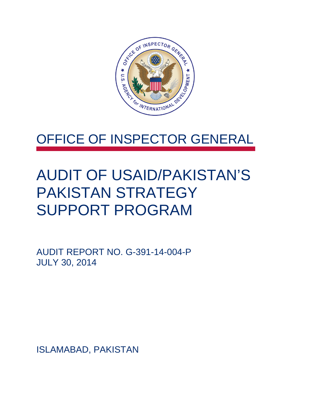

### OFFICE OF INSPECTOR GENERAL

### AUDIT OF USAID/PAKISTAN'S PAKISTAN STRATEGY SUPPORT PROGRAM

AUDIT REPORT NO. G-391-14-004-P JULY 30, 2014

ISLAMABAD, PAKISTAN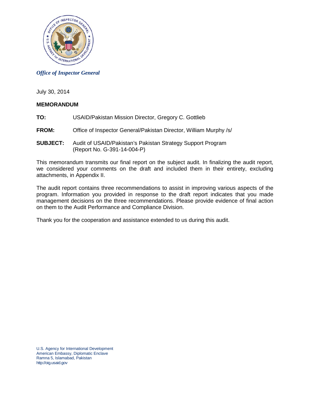

#### *Office of Inspector General*

July 30, 2014

#### **MEMORANDUM**

- **TO:** USAID/Pakistan Mission Director, Gregory C. Gottlieb
- **FROM:** Office of Inspector General/Pakistan Director, William Murphy /s/
- **SUBJECT:** Audit of USAID/Pakistan's Pakistan Strategy Support Program (Report No. G-391-14-004-P)

This memorandum transmits our final report on the subject audit. In finalizing the audit report, we considered your comments on the draft and included them in their entirety, excluding attachments, in Appendix II.

The audit report contains three recommendations to assist in improving various aspects of the program. Information you provided in response to the draft report indicates that you made management decisions on the three recommendations. Please provide evidence of final action on them to the Audit Performance and Compliance Division.

Thank you for the cooperation and assistance extended to us during this audit.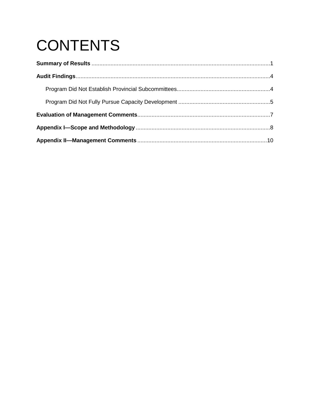# **CONTENTS**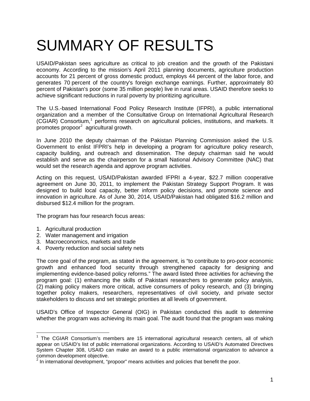## <span id="page-3-0"></span>SUMMARY OF RESULTS

USAID/Pakistan sees agriculture as critical to job creation and the growth of the Pakistani economy. According to the mission's April 2011 planning documents, agriculture production accounts for 21 percent of gross domestic product, employs 44 percent of the labor force, and generates 70 percent of the country's foreign exchange earnings. Further, approximately 80 percent of Pakistan's poor (some 35 million people) live in rural areas. USAID therefore seeks to achieve significant reductions in rural poverty by prioritizing agriculture.

The U.S.-based International Food Policy Research Institute (IFPRI), a public international organization and a member of the Consultative Group on International Agricultural Research (CGIAR) Consortium,<sup>[1](#page-3-1)</sup> performs research on agricultural policies, institutions, and markets. It promotes propoor<sup>[2](#page-3-2)</sup> agricultural growth.

In June 2010 the deputy chairman of the Pakistan Planning Commission asked the U.S. Government to enlist IFPRI's help in developing a program for agriculture policy research, capacity building, and outreach and dissemination. The deputy chairman said he would establish and serve as the chairperson for a small National Advisory Committee (NAC) that would set the research agenda and approve program activities.

Acting on this request, USAID/Pakistan awarded IFPRI a 4-year, \$22.7 million cooperative agreement on June 30, 2011, to implement the Pakistan Strategy Support Program. It was designed to build local capacity, better inform policy decisions, and promote science and innovation in agriculture. As of June 30, 2014, USAID/Pakistan had obligated \$16.2 million and disbursed \$12.4 million for the program.

The program has four research focus areas:

- 1. Agricultural production
- 2. Water management and irrigation
- 3. Macroeconomics, markets and trade
- 4. Poverty reduction and social safety nets

The core goal of the program, as stated in the agreement, is "to contribute to pro-poor economic growth and enhanced food security through strengthened capacity for designing and implementing evidence-based policy reforms." The award listed three activities for achieving the program goal: (1) enhancing the skills of Pakistani researchers to generate policy analysis, (2) making policy makers more critical, active consumers of policy research, and (3) bringing together policy makers, researchers, representatives of civil society, and private sector stakeholders to discuss and set strategic priorities at all levels of government.

USAID's Office of Inspector General (OIG) in Pakistan conducted this audit to determine whether the program was achieving its main goal. The audit found that the program was making

<span id="page-3-1"></span><sup>&</sup>lt;sup>1</sup> The CGIAR Consortium's members are 15 international agricultural research centers, all of which appear on USAID's list of public international organizations. According to USAID's Automated Directives System Chapter 308, USAID can make an award to a public international organization to advance a common development objective.  $\overline{\phantom{a}}$ 

<span id="page-3-2"></span> $2$  In international development, "propoor" means activities and policies that benefit the poor.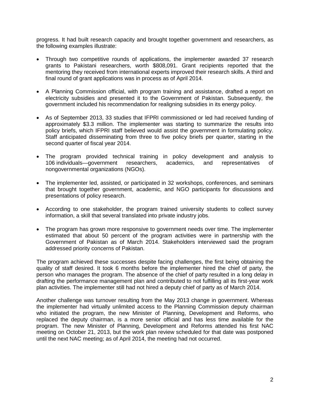progress. It had built research capacity and brought together government and researchers, as the following examples illustrate:

- Through two competitive rounds of applications, the implementer awarded 37 research grants to Pakistani researchers, worth \$808,091. Grant recipients reported that the mentoring they received from international experts improved their research skills. A third and final round of grant applications was in process as of April 2014.
- A Planning Commission official, with program training and assistance, drafted a report on electricity subsidies and presented it to the Government of Pakistan. Subsequently, the government included his recommendation for realigning subsidies in its energy policy.
- As of September 2013, 33 studies that IFPRI commissioned or led had received funding of approximately \$3.3 million. The implementer was starting to summarize the results into policy briefs, which IFPRI staff believed would assist the government in formulating policy. Staff anticipated disseminating from three to five policy briefs per quarter, starting in the second quarter of fiscal year 2014.
- The program provided technical training in policy development and analysis to 106 individuals—government researchers, academics, and representatives of nongovernmental organizations (NGOs).
- The implementer led, assisted, or participated in 32 workshops, conferences, and seminars that brought together government, academic, and NGO participants for discussions and presentations of policy research.
- According to one stakeholder, the program trained university students to collect survey information, a skill that several translated into private industry jobs.
- The program has grown more responsive to government needs over time. The implementer estimated that about 50 percent of the program activities were in partnership with the Government of Pakistan as of March 2014. Stakeholders interviewed said the program addressed priority concerns of Pakistan.

The program achieved these successes despite facing challenges, the first being obtaining the quality of staff desired. It took 6 months before the implementer hired the chief of party, the person who manages the program. The absence of the chief of party resulted in a long delay in drafting the performance management plan and contributed to not fulfilling all its first-year work plan activities. The implementer still had not hired a deputy chief of party as of March 2014.

Another challenge was turnover resulting from the May 2013 change in government. Whereas the implementer had virtually unlimited access to the Planning Commission deputy chairman who initiated the program, the new Minister of Planning, Development and Reforms, who replaced the deputy chairman, is a more senior official and has less time available for the program. The new Minister of Planning, Development and Reforms attended his first NAC meeting on October 21, 2013, but the work plan review scheduled for that date was postponed until the next NAC meeting; as of April 2014, the meeting had not occurred.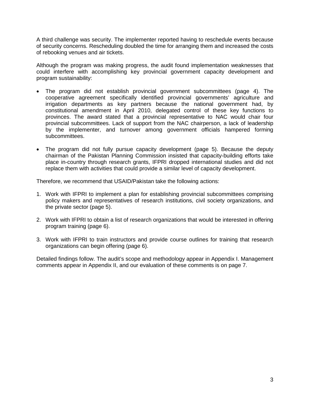A third challenge was security. The implementer reported having to reschedule events because of security concerns. Rescheduling doubled the time for arranging them and increased the costs of rebooking venues and air tickets.

Although the program was making progress, the audit found implementation weaknesses that could interfere with accomplishing key provincial government capacity development and program sustainability:

- The program did not establish provincial government subcommittees (page [4\)](#page-6-0). The cooperative agreement specifically identified provincial governments' agriculture and irrigation departments as key partners because the national government had, by constitutional amendment in April 2010, delegated control of these key functions to provinces. The award stated that a provincial representative to NAC would chair four provincial subcommittees. Lack of support from the NAC chairperson, a lack of leadership by the implementer, and turnover among government officials hampered forming subcommittees.
- The program did not fully pursue capacity development (page [5\)](#page-7-0). Because the deputy chairman of the Pakistan Planning Commission insisted that capacity-building efforts take place in-country through research grants, IFPRI dropped international studies and did not replace them with activities that could provide a similar level of capacity development.

Therefore, we recommend that USAID/Pakistan take the following actions:

- 1. Work with IFPRI to implement a plan for establishing provincial subcommittees comprising policy makers and representatives of research institutions, civil society organizations, and the private sector (page 5).
- 2. Work with IFPRI to obtain a list of research organizations that would be interested in offering program training (page [6\)](#page-8-0).
- 3. Work with IFPRI to train instructors and provide course outlines for training that research organizations can begin offering (page [6\)](#page-8-1).

Detailed findings follow. The audit's scope and methodology appear in Appendix I. Management comments appear in Appendix II, and our evaluation of these comments is on page 7.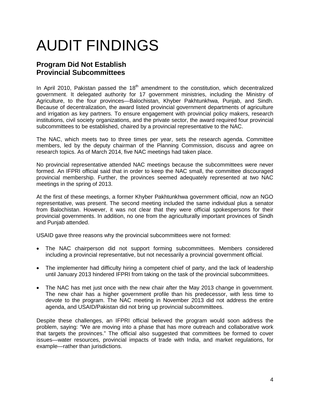# AUDIT FINDINGS

### <span id="page-6-0"></span>**Program Did Not Establish Provincial Subcommittees**

In April 2010, Pakistan passed the  $18<sup>th</sup>$  amendment to the constitution, which decentralized government. It delegated authority for 17 government ministries, including the Ministry of Agriculture, to the four provinces—Balochistan, Khyber Pakhtunkhwa, Punjab, and Sindh. Because of decentralization, the award listed provincial government departments of agriculture and irrigation as key partners. To ensure engagement with provincial policy makers, research institutions, civil society organizations, and the private sector, the award required four provincial subcommittees to be established, chaired by a provincial representative to the NAC.

The NAC, which meets two to three times per year, sets the research agenda. Committee members, led by the deputy chairman of the Planning Commission, discuss and agree on research topics. As of March 2014, five NAC meetings had taken place.

No provincial representative attended NAC meetings because the subcommittees were never formed. An IFPRI official said that in order to keep the NAC small, the committee discouraged provincial membership. Further, the provinces seemed adequately represented at two NAC meetings in the spring of 2013.

At the first of these meetings, a former Khyber Pakhtunkhwa government official, now an NGO representative, was present. The second meeting included the same individual plus a senator from Balochistan. However, it was not clear that they were official spokespersons for their provincial governments. In addition, no one from the agriculturally important provinces of Sindh and Punjab attended.

USAID gave three reasons why the provincial subcommittees were not formed:

- The NAC chairperson did not support forming subcommittees. Members considered including a provincial representative, but not necessarily a provincial government official.
- The implementer had difficulty hiring a competent chief of party, and the lack of leadership until January 2013 hindered IFPRI from taking on the task of the provincial subcommittees.
- The NAC has met just once with the new chair after the May 2013 change in government. The new chair has a higher government profile than his predecessor, with less time to devote to the program. The NAC meeting in November 2013 did not address the entire agenda, and USAID/Pakistan did not bring up provincial subcommittees.

Despite these challenges, an IFPRI official believed the program would soon address the problem, saying: "We are moving into a phase that has more outreach and collaborative work that targets the provinces." The official also suggested that committees be formed to cover issues—water resources, provincial impacts of trade with India, and market regulations, for example—rather than jurisdictions.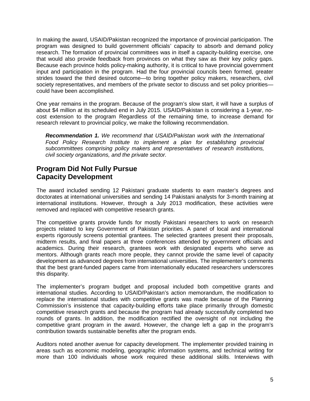In making the award, USAID/Pakistan recognized the importance of provincial participation. The program was designed to build government officials' capacity to absorb and demand policy research. The formation of provincial committees was in itself a capacity-building exercise, one that would also provide feedback from provinces on what they saw as their key policy gaps. Because each province holds policy-making authority, it is critical to have provincial government input and participation in the program. Had the four provincial councils been formed, greater strides toward the third desired outcome—to bring together policy makers, researchers, civil society representatives, and members of the private sector to discuss and set policy priorities could have been accomplished.

One year remains in the program. Because of the program's slow start, it will have a surplus of about \$4 million at its scheduled end in July 2015. USAID/Pakistan is considering a 1-year, nocost extension to the program Regardless of the remaining time, to increase demand for research relevant to provincial policy, we make the following recommendation.

*Recommendation 1. We recommend that USAID/Pakistan work with the International Food Policy Research Institute to implement a plan for establishing provincial subcommittees comprising policy makers and representatives of research institutions, civil society organizations, and the private sector.*

### <span id="page-7-0"></span>**Program Did Not Fully Pursue Capacity Development**

The award included sending 12 Pakistani graduate students to earn master's degrees and doctorates at international universities and sending 14 Pakistani analysts for 3-month training at international institutions. However, through a July 2013 modification, these activities were removed and replaced with competitive research grants.

The competitive grants provide funds for mostly Pakistani researchers to work on research projects related to key Government of Pakistan priorities. A panel of local and international experts rigorously screens potential grantees. The selected grantees present their proposals, midterm results, and final papers at three conferences attended by government officials and academics. During their research, grantees work with designated experts who serve as mentors. Although grants reach more people, they cannot provide the same level of capacity development as advanced degrees from international universities. The implementer's comments that the best grant-funded papers came from internationally educated researchers underscores this disparity.

The implementer's program budget and proposal included both competitive grants and international studies. According to USAID/Pakistan's action memorandum, the modification to replace the international studies with competitive grants was made because of the Planning Commission's insistence that capacity-building efforts take place primarily through domestic competitive research grants and because the program had already successfully completed two rounds of grants. In addition, the modification rectified the oversight of not including the competitive grant program in the award. However, the change left a gap in the program's contribution towards sustainable benefits after the program ends.

Auditors noted another avenue for capacity development. The implementer provided training in areas such as economic modeling, geographic information systems, and technical writing for more than 100 individuals whose work required these additional skills. Interviews with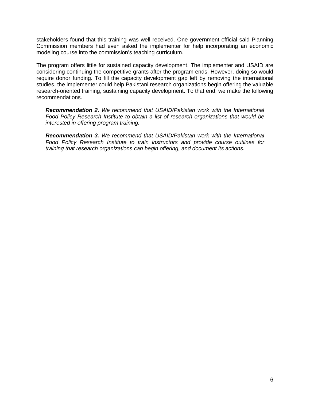stakeholders found that this training was well received. One government official said Planning Commission members had even asked the implementer for help incorporating an economic modeling course into the commission's teaching curriculum.

The program offers little for sustained capacity development. The implementer and USAID are considering continuing the competitive grants after the program ends. However, doing so would require donor funding. To fill the capacity development gap left by removing the international studies, the implementer could help Pakistani research organizations begin offering the valuable research-oriented training, sustaining capacity development. To that end, we make the following recommendations.

<span id="page-8-0"></span>*Recommendation 2. We recommend that USAID/Pakistan work with the International Food Policy Research Institute to obtain a list of research organizations that would be interested in offering program training.*

<span id="page-8-1"></span>*Recommendation 3. We recommend that USAID/Pakistan work with the International Food Policy Research Institute to train instructors and provide course outlines for training that research organizations can begin offering, and document its actions.*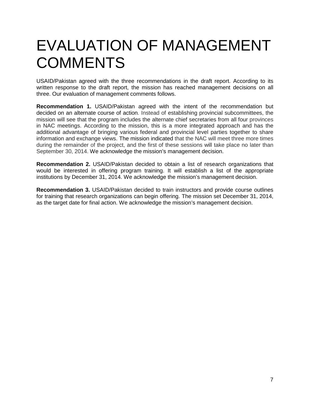### <span id="page-9-0"></span>EVALUATION OF MANAGEMENT **COMMENTS**

USAID/Pakistan agreed with the three recommendations in the draft report. According to its written response to the draft report, the mission has reached management decisions on all three. Our evaluation of management comments follows.

**Recommendation 1.** USAID/Pakistan agreed with the intent of the recommendation but decided on an alternate course of action. Instead of establishing provincial subcommittees, the mission will see that the program includes the alternate chief secretaries from all four provinces in NAC meetings. According to the mission, this is a more integrated approach and has the additional advantage of bringing various federal and provincial level parties together to share information and exchange views. The mission indicated that the NAC will meet three more times during the remainder of the project, and the first of these sessions will take place no later than September 30, 2014. We acknowledge the mission's management decision.

**Recommendation 2.** USAID/Pakistan decided to obtain a list of research organizations that would be interested in offering program training. It will establish a list of the appropriate institutions by December 31, 2014. We acknowledge the mission's management decision.

**Recommendation 3.** USAID/Pakistan decided to train instructors and provide course outlines for training that research organizations can begin offering. The mission set December 31, 2014, as the target date for final action. We acknowledge the mission's management decision.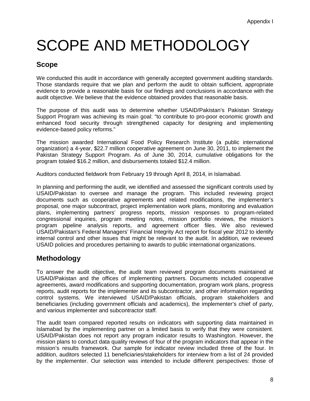## <span id="page-10-0"></span>SCOPE AND METHODOLOGY

### **Scope**

We conducted this audit in accordance with generally accepted government auditing standards. Those standards require that we plan and perform the audit to obtain sufficient, appropriate evidence to provide a reasonable basis for our findings and conclusions in accordance with the audit objective. We believe that the evidence obtained provides that reasonable basis.

The purpose of this audit was to determine whether USAID/Pakistan's Pakistan Strategy Support Program was achieving its main goal: "to contribute to pro-poor economic growth and enhanced food security through strengthened capacity for designing and implementing evidence-based policy reforms."

The mission awarded International Food Policy Research Institute (a public international organization) a 4-year, \$22.7 million cooperative agreement on June 30, 2011, to implement the Pakistan Strategy Support Program. As of June 30, 2014, cumulative obligations for the program totaled \$16.2 million, and disbursements totaled \$12.4 million.

Auditors conducted fieldwork from February 19 through April 8, 2014, in Islamabad.

In planning and performing the audit, we identified and assessed the significant controls used by USAID/Pakistan to oversee and manage the program. This included reviewing project documents such as cooperative agreements and related modifications, the implementer's proposal, one major subcontract, project implementation work plans, monitoring and evaluation plans, implementing partners' progress reports, mission responses to program-related congressional inquiries, program meeting notes, mission portfolio reviews, the mission's program pipeline analysis reports, and agreement officer files. We also reviewed USAID/Pakistan's Federal Managers' Financial Integrity Act report for fiscal year 2012 to identify internal control and other issues that might be relevant to the audit. In addition, we reviewed USAID policies and procedures pertaining to awards to public international organizations.

### **Methodology**

To answer the audit objective, the audit team reviewed program documents maintained at USAID/Pakistan and the offices of implementing partners. Documents included cooperative agreements, award modifications and supporting documentation, program work plans, progress reports, audit reports for the implementer and its subcontractor, and other information regarding control systems. We interviewed USAID/Pakistan officials, program stakeholders and beneficiaries (including government officials and academics), the implementer's chief of party, and various implementer and subcontractor staff.

The audit team compared reported results on indicators with supporting data maintained in Islamabad by the implementing partner on a limited basis to verify that they were consistent. USAID/Pakistan does not report any program indicator results to Washington. However, the mission plans to conduct data quality reviews of four of the program indicators that appear in the mission's results framework. Our sample for indicator review included three of the four. In addition, auditors selected 11 beneficiaries/stakeholders for interview from a list of 24 provided by the implementer. Our selection was intended to include different perspectives: those of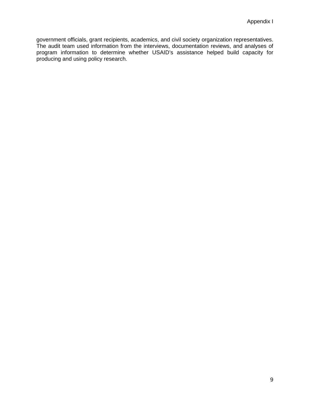government officials, grant recipients, academics, and civil society organization representatives. The audit team used information from the interviews, documentation reviews, and analyses of program information to determine whether USAID's assistance helped build capacity for producing and using policy research.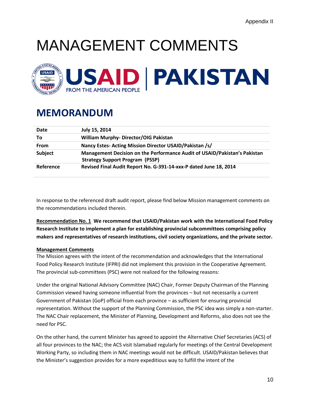# MANAGEMENT COMMENTS



### **MEMORANDUM**

| Date           | July 15, 2014                                                                                                       |
|----------------|---------------------------------------------------------------------------------------------------------------------|
| Τo             | <b>William Murphy-Director/OIG Pakistan</b>                                                                         |
| From           | Nancy Estes-Acting Mission Director USAID/Pakistan /s/                                                              |
| <b>Subject</b> | Management Decision on the Performance Audit of USAID/Pakistan's Pakistan<br><b>Strategy Support Program (PSSP)</b> |
| Reference      | Revised Final Audit Report No. G-391-14-xxx-P dated June 18, 2014                                                   |

In response to the referenced draft audit report, please find below Mission management comments on the recommendations included therein.

**Recommendation No. 1 We recommend that USAID/Pakistan work with the International Food Policy Research Institute to implement a plan for establishing provincial subcommittees comprising policy makers and representatives of research institutions, civil society organizations, and the private sector.**

#### **Management Comments**

The Mission agrees with the intent of the recommendation and acknowledges that the International Food Policy Research Institute (IFPRI) did not implement this provision in the Cooperative Agreement. The provincial sub-committees (PSC) were not realized for the following reasons:

Under the original National Advisory Committee (NAC) Chair, Former Deputy Chairman of the Planning Commission viewed having someone influential from the provinces – but not necessarily a current Government of Pakistan (GoP) official from each province – as sufficient for ensuring provincial representation. Without the support of the Planning Commission, the PSC idea was simply a non-starter. The NAC Chair replacement, the Minister of Planning, Development and Reforms, also does not see the need for PSC.

On the other hand, the current Minister has agreed to appoint the Alternative Chief Secretaries (ACS) of all four provinces to the NAC; the ACS visit Islamabad regularly for meetings of the Central Development Working Party, so including them in NAC meetings would not be difficult. USAID/Pakistan believes that the Minister's suggestion provides for a more expeditious way to fulfill the intent of the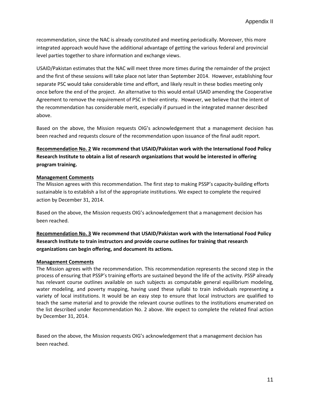recommendation, since the NAC is already constituted and meeting periodically. Moreover, this more integrated approach would have the additional advantage of getting the various federal and provincial level parties together to share information and exchange views.

USAID/Pakistan estimates that the NAC will meet three more times during the remainder of the project and the first of these sessions will take place not later than September 2014. However, establishing four separate PSC would take considerable time and effort, and likely result in these bodies meeting only once before the end of the project. An alternative to this would entail USAID amending the Cooperative Agreement to remove the requirement of PSC in their entirety. However, we believe that the intent of the recommendation has considerable merit, especially if pursued in the integrated manner described above.

Based on the above, the Mission requests OIG's acknowledgement that a management decision has been reached and requests closure of the recommendation upon issuance of the final audit report.

### **Recommendation No. 2 We recommend that USAID/Pakistan work with the International Food Policy Research Institute to obtain a list of research organizations that would be interested in offering program training.**

#### **Management Comments**

The Mission agrees with this recommendation. The first step to making PSSP's capacity-building efforts sustainable is to establish a list of the appropriate institutions. We expect to complete the required action by December 31, 2014.

Based on the above, the Mission requests OIG's acknowledgement that a management decision has been reached.

**Recommendation No. 3 We recommend that USAID/Pakistan work with the International Food Policy Research Institute to train instructors and provide course outlines for training that research organizations can begin offering, and document its actions.**

#### **Management Comments**

The Mission agrees with the recommendation. This recommendation represents the second step in the process of ensuring that PSSP's training efforts are sustained beyond the life of the activity. PSSP already has relevant course outlines available on such subjects as computable general equilibrium modeling, water modeling, and poverty mapping, having used these syllabi to train individuals representing a variety of local institutions. It would be an easy step to ensure that local instructors are qualified to teach the same material and to provide the relevant course outlines to the institutions enumerated on the list described under Recommendation No. 2 above. We expect to complete the related final action by December 31, 2014.

Based on the above, the Mission requests OIG's acknowledgement that a management decision has been reached.